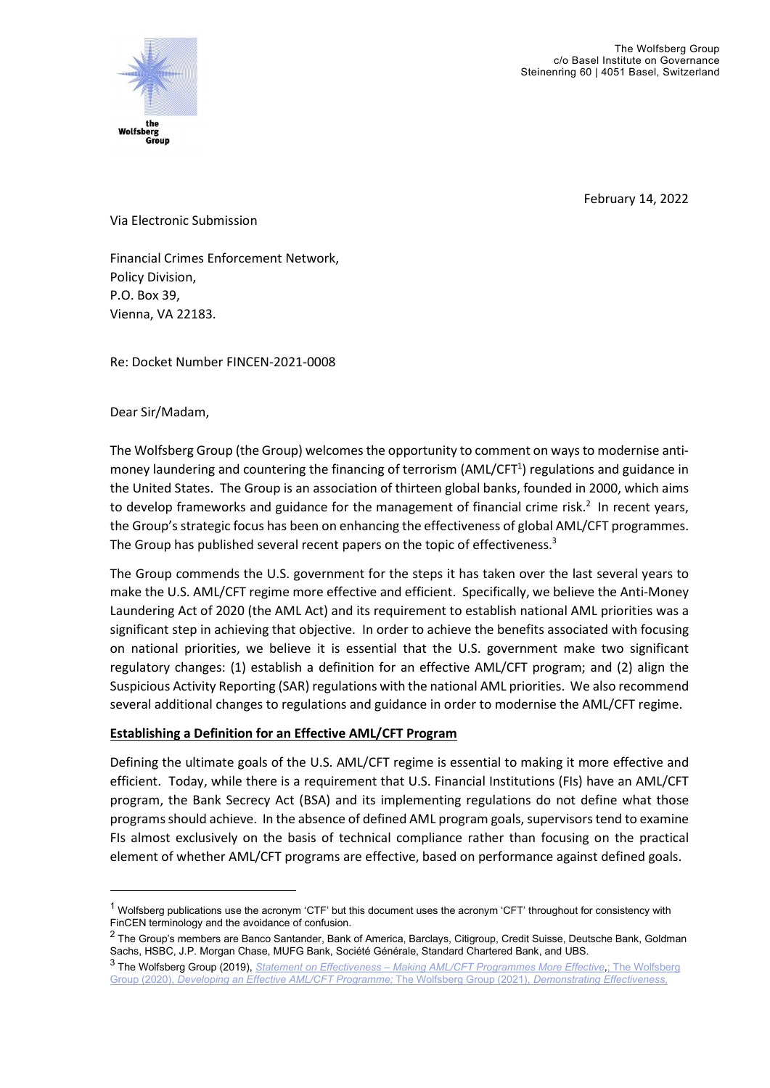

February 14, 2022

Via Electronic Submission

Financial Crimes Enforcement Network, Policy Division, P.O. Box 39, Vienna, VA 22183.

Re: Docket Number FINCEN-2021-0008

Dear Sir/Madam,

The Wolfsberg Group (the Group) welcomes the opportunity to comment on ways to modernise antimoney laundering and countering the financing of terrorism (AML/CFT<sup>1</sup>) regulations and guidance in the United States. The Group is an association of thirteen global banks, founded in 2000, which aims to develop frameworks and guidance for the management of financial crime risk. $2$  In recent years, the Group's strategic focus has been on enhancing the effectiveness of global AML/CFT programmes. The Group has published several recent papers on the topic of effectiveness.<sup>3</sup>

The Group commends the U.S. government for the steps it has taken over the last several years to make the U.S. AML/CFT regime more effective and efficient. Specifically, we believe the Anti-Money Laundering Act of 2020 (the AML Act) and its requirement to establish national AML priorities was a significant step in achieving that objective. In order to achieve the benefits associated with focusing on national priorities, we believe it is essential that the U.S. government make two significant regulatory changes: (1) establish a definition for an effective AML/CFT program; and (2) align the Suspicious Activity Reporting (SAR) regulations with the national AML priorities. We also recommend several additional changes to regulations and guidance in order to modernise the AML/CFT regime.

# Establishing a Definition for an Effective AML/CFT Program

Defining the ultimate goals of the U.S. AML/CFT regime is essential to making it more effective and efficient. Today, while there is a requirement that U.S. Financial Institutions (FIs) have an AML/CFT program, the Bank Secrecy Act (BSA) and its implementing regulations do not define what those programs should achieve. In the absence of defined AML program goals, supervisors tend to examine FIs almost exclusively on the basis of technical compliance rather than focusing on the practical element of whether AML/CFT programs are effective, based on performance against defined goals.

 $1$  Wolfsberg publications use the acronym 'CTF' but this document uses the acronym 'CFT' throughout for consistency with FinCEN terminology and the avoidance of confusion.

 $^2$  The Group's members are Banco Santander, Bank of America, Barclays, Citigroup, Credit Suisse, Deutsche Bank, Goldman Sachs, HSBC, J.P. Morgan Chase, MUFG Bank, Société Générale, Standard Chartered Bank, and UBS.

<sup>3</sup> The Wolfsberg Group (2019), Statement on Effectiveness – Making AML/CFT Programmes More Effective; The Wolfsberg Group (2020), Developing an Effective AML/CFT Programme; The Wolfsberg Group (2021), Demonstrating Effectiveness,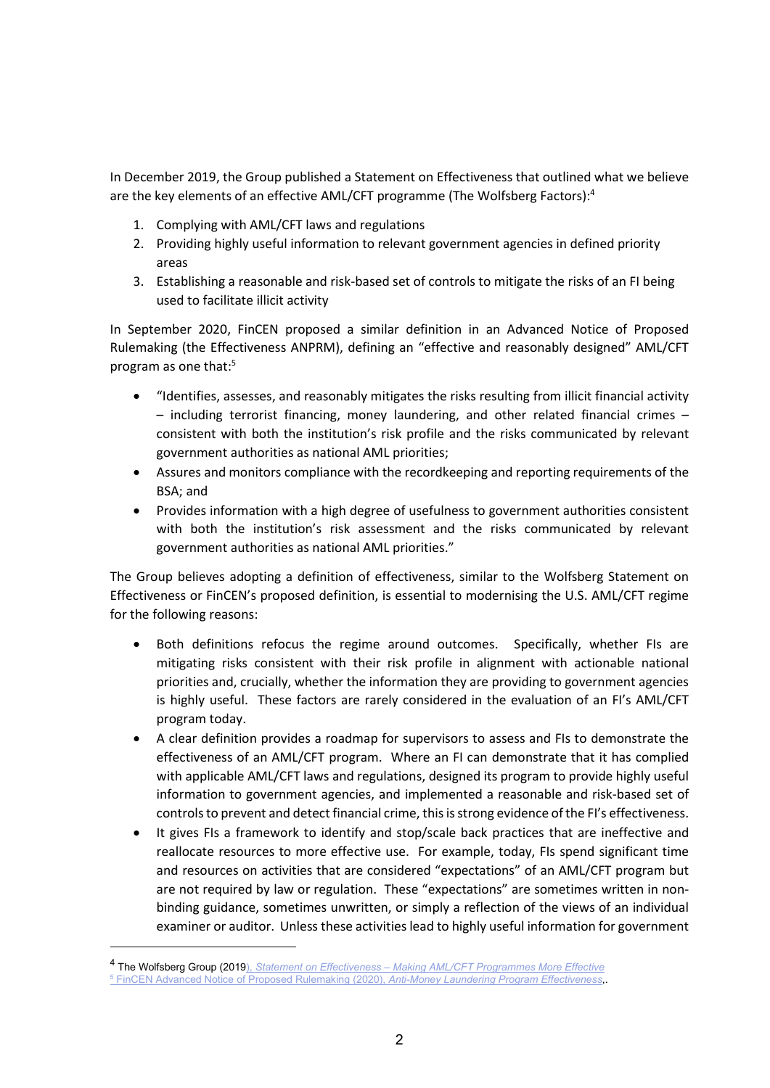In December 2019, the Group published a Statement on Effectiveness that outlined what we believe are the key elements of an effective AML/CFT programme (The Wolfsberg Factors):<sup>4</sup>

- 1. Complying with AML/CFT laws and regulations
- 2. Providing highly useful information to relevant government agencies in defined priority areas
- 3. Establishing a reasonable and risk-based set of controls to mitigate the risks of an FI being used to facilitate illicit activity

In September 2020, FinCEN proposed a similar definition in an Advanced Notice of Proposed Rulemaking (the Effectiveness ANPRM), defining an "effective and reasonably designed" AML/CFT program as one that:<sup>5</sup>

- "Identifies, assesses, and reasonably mitigates the risks resulting from illicit financial activity – including terrorist financing, money laundering, and other related financial crimes – consistent with both the institution's risk profile and the risks communicated by relevant government authorities as national AML priorities;
- Assures and monitors compliance with the recordkeeping and reporting requirements of the BSA; and
- Provides information with a high degree of usefulness to government authorities consistent with both the institution's risk assessment and the risks communicated by relevant government authorities as national AML priorities."

The Group believes adopting a definition of effectiveness, similar to the Wolfsberg Statement on Effectiveness or FinCEN's proposed definition, is essential to modernising the U.S. AML/CFT regime for the following reasons:

- Both definitions refocus the regime around outcomes. Specifically, whether FIs are mitigating risks consistent with their risk profile in alignment with actionable national priorities and, crucially, whether the information they are providing to government agencies is highly useful. These factors are rarely considered in the evaluation of an FI's AML/CFT program today.
- A clear definition provides a roadmap for supervisors to assess and FIs to demonstrate the effectiveness of an AML/CFT program. Where an FI can demonstrate that it has complied with applicable AML/CFT laws and regulations, designed its program to provide highly useful information to government agencies, and implemented a reasonable and risk-based set of controls to prevent and detect financial crime, this is strong evidence of the FI's effectiveness.
- It gives FIs a framework to identify and stop/scale back practices that are ineffective and reallocate resources to more effective use. For example, today, FIs spend significant time and resources on activities that are considered "expectations" of an AML/CFT program but are not required by law or regulation. These "expectations" are sometimes written in nonbinding guidance, sometimes unwritten, or simply a reflection of the views of an individual examiner or auditor. Unless these activities lead to highly useful information for government

<sup>&</sup>lt;sup>4</sup> The Wolfsberg Group (2019), Statement on Effectiveness – Making AML/CFT Programmes More Effective <sup>5</sup> FinCEN Advanced Notice of Proposed Rulemaking (2020), Anti-Money Laundering Program Effectiveness,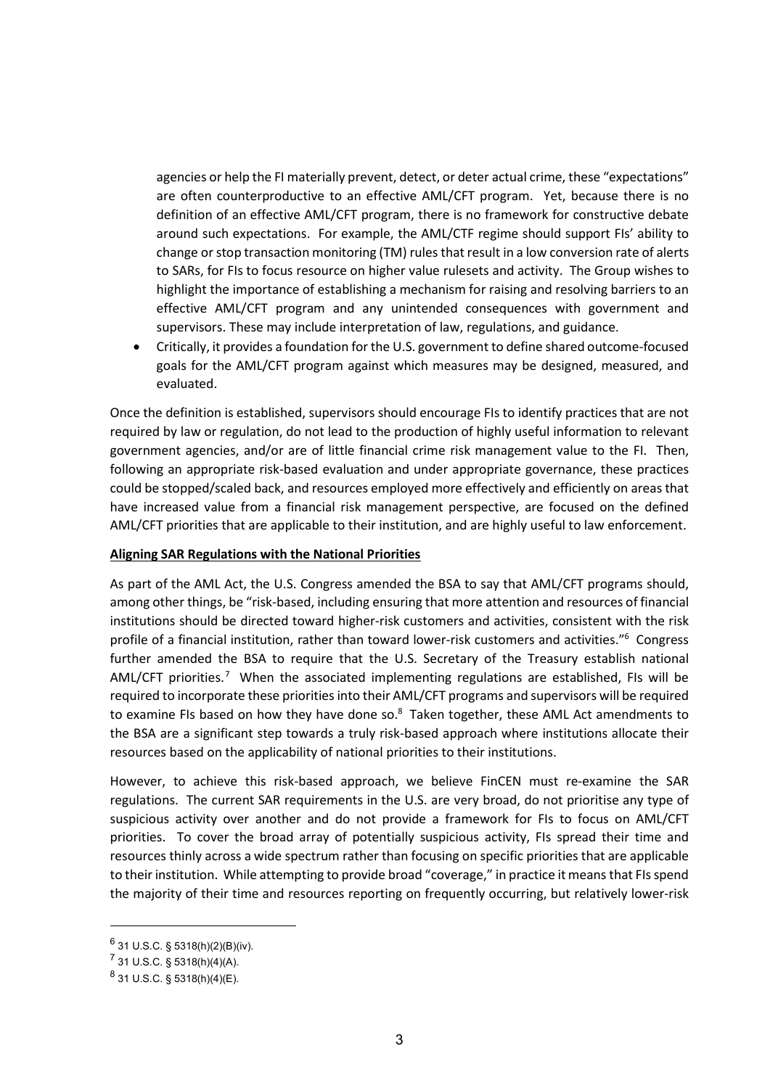agencies or help the FI materially prevent, detect, or deter actual crime, these "expectations" are often counterproductive to an effective AML/CFT program. Yet, because there is no definition of an effective AML/CFT program, there is no framework for constructive debate around such expectations. For example, the AML/CTF regime should support FIs' ability to change or stop transaction monitoring (TM) rules that result in a low conversion rate of alerts to SARs, for FIs to focus resource on higher value rulesets and activity. The Group wishes to highlight the importance of establishing a mechanism for raising and resolving barriers to an effective AML/CFT program and any unintended consequences with government and supervisors. These may include interpretation of law, regulations, and guidance.

 Critically, it provides a foundation for the U.S. government to define shared outcome-focused goals for the AML/CFT program against which measures may be designed, measured, and evaluated.

Once the definition is established, supervisors should encourage FIs to identify practices that are not required by law or regulation, do not lead to the production of highly useful information to relevant government agencies, and/or are of little financial crime risk management value to the FI. Then, following an appropriate risk-based evaluation and under appropriate governance, these practices could be stopped/scaled back, and resources employed more effectively and efficiently on areas that have increased value from a financial risk management perspective, are focused on the defined AML/CFT priorities that are applicable to their institution, and are highly useful to law enforcement.

## Aligning SAR Regulations with the National Priorities

As part of the AML Act, the U.S. Congress amended the BSA to say that AML/CFT programs should, among other things, be "risk-based, including ensuring that more attention and resources of financial institutions should be directed toward higher-risk customers and activities, consistent with the risk profile of a financial institution, rather than toward lower-risk customers and activities."<sup>6</sup> Congress further amended the BSA to require that the U.S. Secretary of the Treasury establish national AML/CFT priorities.<sup>7</sup> When the associated implementing regulations are established, FIs will be required to incorporate these priorities into their AML/CFT programs and supervisors will be required to examine FIs based on how they have done so. $8$  Taken together, these AML Act amendments to the BSA are a significant step towards a truly risk-based approach where institutions allocate their resources based on the applicability of national priorities to their institutions.

However, to achieve this risk-based approach, we believe FinCEN must re-examine the SAR regulations. The current SAR requirements in the U.S. are very broad, do not prioritise any type of suspicious activity over another and do not provide a framework for FIs to focus on AML/CFT priorities. To cover the broad array of potentially suspicious activity, FIs spread their time and resources thinly across a wide spectrum rather than focusing on specific priorities that are applicable to their institution. While attempting to provide broad "coverage," in practice it means that FIs spend the majority of their time and resources reporting on frequently occurring, but relatively lower-risk

 $^6$  31 U.S.C. § 5318(h)(2)(B)(iv).

 $^7$  31 U.S.C. § 5318(h)(4)(A).

 $^{8}$  31 U.S.C. § 5318(h)(4)(E).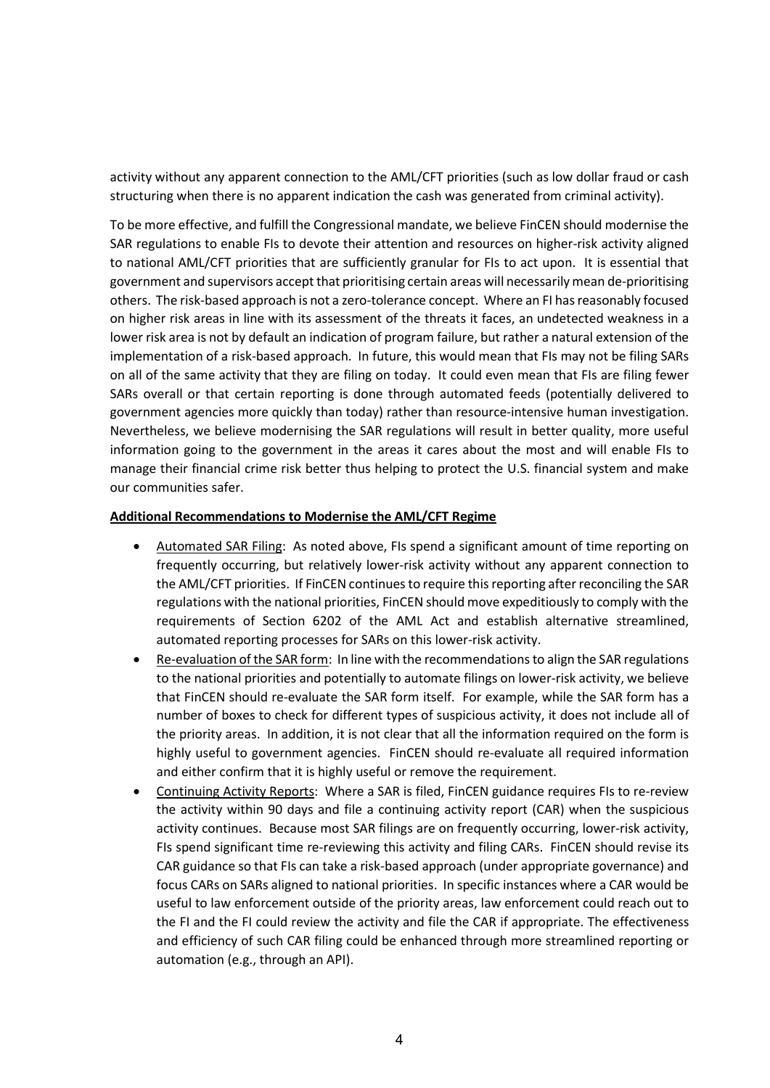activity without any apparent connection to the AML/CFT priorities (such as low dollar fraud or cash structuring when there is no apparent indication the cash was generated from criminal activity).

To be more effective, and fulfill the Congressional mandate, we believe FinCEN should modernise the SAR regulations to enable FIs to devote their attention and resources on higher-risk activity aligned to national AML/CFT priorities that are sufficiently granular for FIs to act upon. It is essential that government and supervisors accept that prioritising certain areas will necessarily mean de-prioritising others. The risk-based approach is not a zero-tolerance concept. Where an FI has reasonably focused on higher risk areas in line with its assessment of the threats it faces, an undetected weakness in a lower risk area is not by default an indication of program failure, but rather a natural extension of the implementation of a risk-based approach. In future, this would mean that FIs may not be filing SARs on all of the same activity that they are filing on today. It could even mean that FIs are filing fewer SARs overall or that certain reporting is done through automated feeds (potentially delivered to government agencies more quickly than today) rather than resource-intensive human investigation. Nevertheless, we believe modernising the SAR regulations will result in better quality, more useful information going to the government in the areas it cares about the most and will enable FIs to manage their financial crime risk better thus helping to protect the U.S. financial system and make our communities safer.

## Additional Recommendations to Modernise the AML/CFT Regime

- Automated SAR Filing: As noted above, FIs spend a significant amount of time reporting on frequently occurring, but relatively lower-risk activity without any apparent connection to the AML/CFT priorities. If FinCEN continues to require this reporting after reconciling the SAR regulations with the national priorities, FinCEN should move expeditiously to comply with the requirements of Section 6202 of the AML Act and establish alternative streamlined, automated reporting processes for SARs on this lower-risk activity.
- Re-evaluation of the SAR form: In line with the recommendations to align the SAR regulations to the national priorities and potentially to automate filings on lower-risk activity, we believe that FinCEN should re-evaluate the SAR form itself. For example, while the SAR form has a number of boxes to check for different types of suspicious activity, it does not include all of the priority areas. In addition, it is not clear that all the information required on the form is highly useful to government agencies. FinCEN should re-evaluate all required information and either confirm that it is highly useful or remove the requirement.
- Continuing Activity Reports: Where a SAR is filed, FinCEN guidance requires FIs to re-review the activity within 90 days and file a continuing activity report (CAR) when the suspicious activity continues. Because most SAR filings are on frequently occurring, lower-risk activity, FIs spend significant time re-reviewing this activity and filing CARs. FinCEN should revise its CAR guidance so that FIs can take a risk-based approach (under appropriate governance) and focus CARs on SARs aligned to national priorities. In specific instances where a CAR would be useful to law enforcement outside of the priority areas, law enforcement could reach out to the FI and the FI could review the activity and file the CAR if appropriate. The effectiveness and efficiency of such CAR filing could be enhanced through more streamlined reporting or automation (e.g., through an API).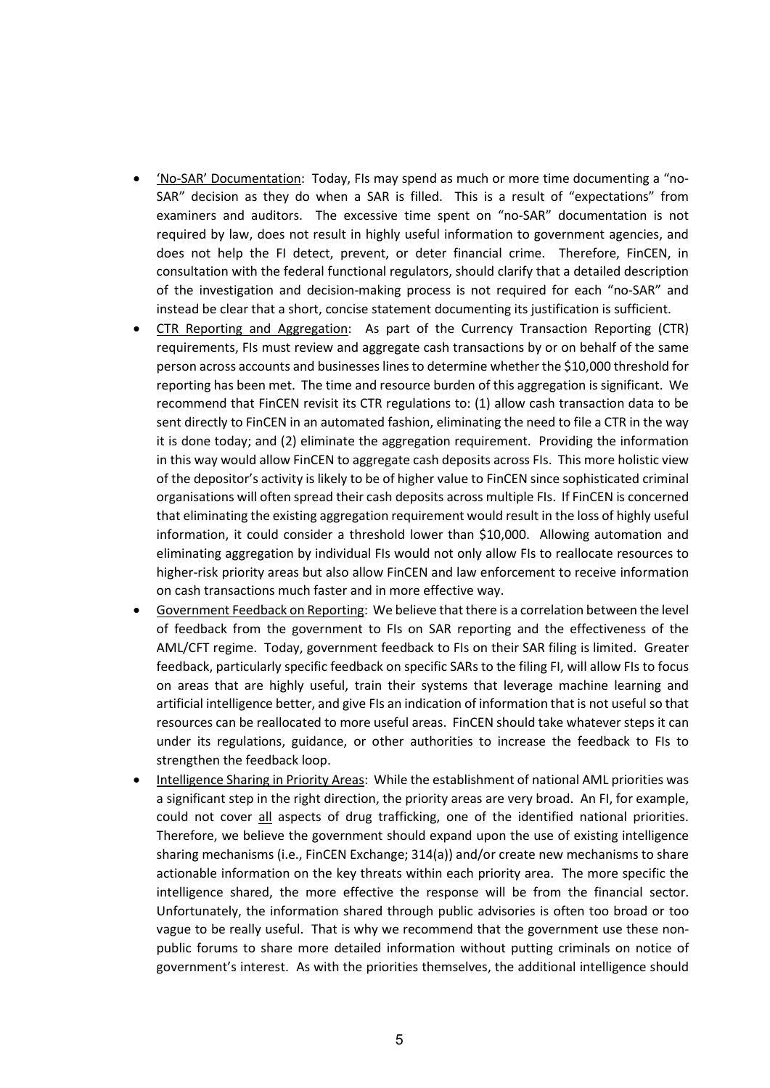- 'No-SAR' Documentation: Today, FIs may spend as much or more time documenting a "no-SAR" decision as they do when a SAR is filled. This is a result of "expectations" from examiners and auditors. The excessive time spent on "no-SAR" documentation is not required by law, does not result in highly useful information to government agencies, and does not help the FI detect, prevent, or deter financial crime. Therefore, FinCEN, in consultation with the federal functional regulators, should clarify that a detailed description of the investigation and decision-making process is not required for each "no-SAR" and instead be clear that a short, concise statement documenting its justification is sufficient.
- CTR Reporting and Aggregation: As part of the Currency Transaction Reporting (CTR) requirements, FIs must review and aggregate cash transactions by or on behalf of the same person across accounts and businesses lines to determine whether the \$10,000 threshold for reporting has been met. The time and resource burden of this aggregation is significant. We recommend that FinCEN revisit its CTR regulations to: (1) allow cash transaction data to be sent directly to FinCEN in an automated fashion, eliminating the need to file a CTR in the way it is done today; and (2) eliminate the aggregation requirement. Providing the information in this way would allow FinCEN to aggregate cash deposits across FIs. This more holistic view of the depositor's activity is likely to be of higher value to FinCEN since sophisticated criminal organisations will often spread their cash deposits across multiple FIs. If FinCEN is concerned that eliminating the existing aggregation requirement would result in the loss of highly useful information, it could consider a threshold lower than \$10,000. Allowing automation and eliminating aggregation by individual FIs would not only allow FIs to reallocate resources to higher-risk priority areas but also allow FinCEN and law enforcement to receive information on cash transactions much faster and in more effective way.
- Government Feedback on Reporting: We believe that there is a correlation between the level of feedback from the government to FIs on SAR reporting and the effectiveness of the AML/CFT regime. Today, government feedback to FIs on their SAR filing is limited. Greater feedback, particularly specific feedback on specific SARs to the filing FI, will allow FIs to focus on areas that are highly useful, train their systems that leverage machine learning and artificial intelligence better, and give FIs an indication of information that is not useful so that resources can be reallocated to more useful areas. FinCEN should take whatever steps it can under its regulations, guidance, or other authorities to increase the feedback to FIs to strengthen the feedback loop.
- Intelligence Sharing in Priority Areas: While the establishment of national AML priorities was a significant step in the right direction, the priority areas are very broad. An FI, for example, could not cover all aspects of drug trafficking, one of the identified national priorities. Therefore, we believe the government should expand upon the use of existing intelligence sharing mechanisms (i.e., FinCEN Exchange; 314(a)) and/or create new mechanisms to share actionable information on the key threats within each priority area. The more specific the intelligence shared, the more effective the response will be from the financial sector. Unfortunately, the information shared through public advisories is often too broad or too vague to be really useful. That is why we recommend that the government use these nonpublic forums to share more detailed information without putting criminals on notice of government's interest. As with the priorities themselves, the additional intelligence should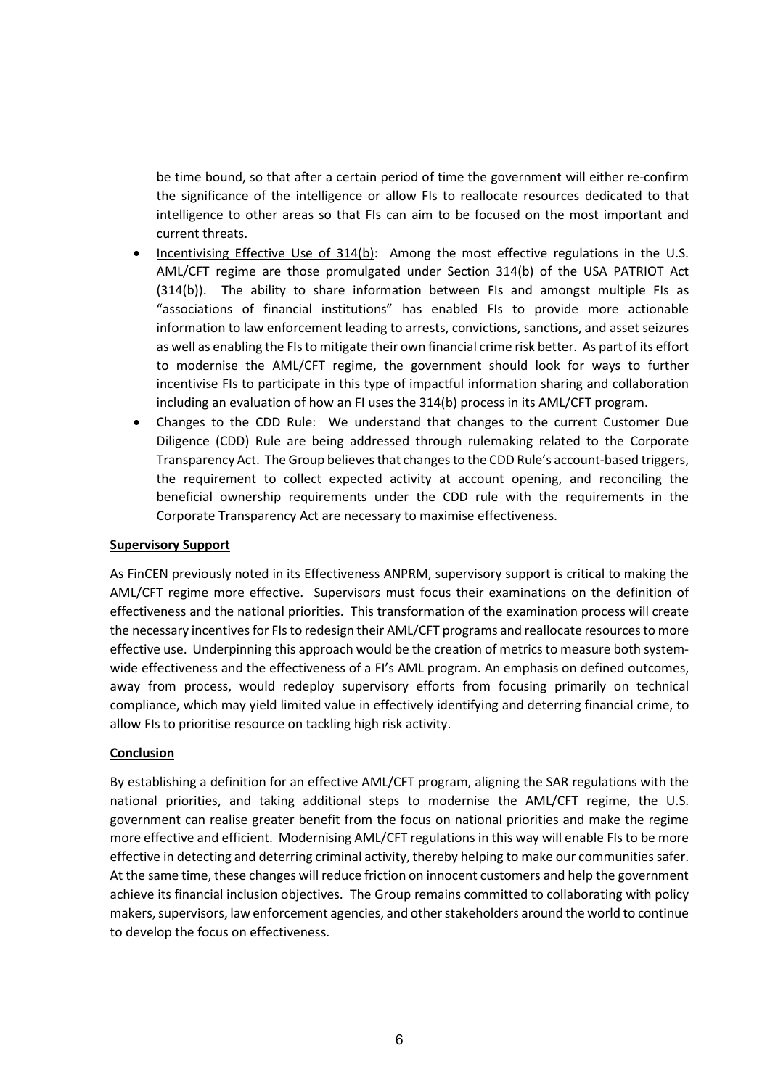be time bound, so that after a certain period of time the government will either re-confirm the significance of the intelligence or allow FIs to reallocate resources dedicated to that intelligence to other areas so that FIs can aim to be focused on the most important and current threats.

- Incentivising Effective Use of 314(b): Among the most effective regulations in the U.S. AML/CFT regime are those promulgated under Section 314(b) of the USA PATRIOT Act (314(b)). The ability to share information between FIs and amongst multiple FIs as "associations of financial institutions" has enabled FIs to provide more actionable information to law enforcement leading to arrests, convictions, sanctions, and asset seizures as well as enabling the FIs to mitigate their own financial crime risk better. As part of its effort to modernise the AML/CFT regime, the government should look for ways to further incentivise FIs to participate in this type of impactful information sharing and collaboration including an evaluation of how an FI uses the 314(b) process in its AML/CFT program.
- Changes to the CDD Rule: We understand that changes to the current Customer Due Diligence (CDD) Rule are being addressed through rulemaking related to the Corporate Transparency Act. The Group believes that changes to the CDD Rule's account-based triggers, the requirement to collect expected activity at account opening, and reconciling the beneficial ownership requirements under the CDD rule with the requirements in the Corporate Transparency Act are necessary to maximise effectiveness.

### Supervisory Support

As FinCEN previously noted in its Effectiveness ANPRM, supervisory support is critical to making the AML/CFT regime more effective. Supervisors must focus their examinations on the definition of effectiveness and the national priorities. This transformation of the examination process will create the necessary incentives for FIs to redesign their AML/CFT programs and reallocate resources to more effective use. Underpinning this approach would be the creation of metrics to measure both systemwide effectiveness and the effectiveness of a FI's AML program. An emphasis on defined outcomes, away from process, would redeploy supervisory efforts from focusing primarily on technical compliance, which may yield limited value in effectively identifying and deterring financial crime, to allow FIs to prioritise resource on tackling high risk activity.

## **Conclusion**

By establishing a definition for an effective AML/CFT program, aligning the SAR regulations with the national priorities, and taking additional steps to modernise the AML/CFT regime, the U.S. government can realise greater benefit from the focus on national priorities and make the regime more effective and efficient. Modernising AML/CFT regulations in this way will enable FIs to be more effective in detecting and deterring criminal activity, thereby helping to make our communities safer. At the same time, these changes will reduce friction on innocent customers and help the government achieve its financial inclusion objectives. The Group remains committed to collaborating with policy makers, supervisors, law enforcement agencies, and other stakeholders around the world to continue to develop the focus on effectiveness.